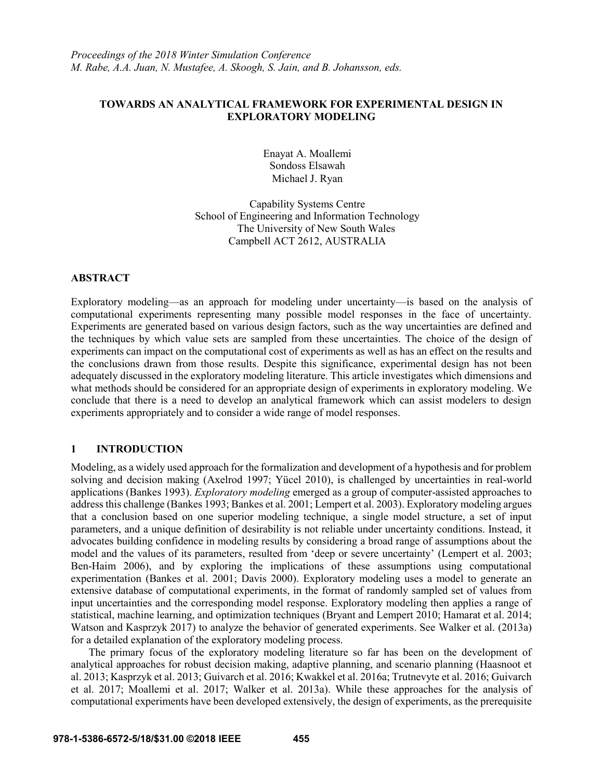# **TOWARDS AN ANALYTICAL FRAMEWORK FOR EXPERIMENTAL DESIGN IN EXPLORATORY MODELING**

Enayat A. Moallemi Sondoss Elsawah Michael J. Ryan

Capability Systems Centre School of Engineering and Information Technology The University of New South Wales Campbell ACT 2612, AUSTRALIA

## **ABSTRACT**

Exploratory modeling—as an approach for modeling under uncertainty—is based on the analysis of computational experiments representing many possible model responses in the face of uncertainty. Experiments are generated based on various design factors, such as the way uncertainties are defined and the techniques by which value sets are sampled from these uncertainties. The choice of the design of experiments can impact on the computational cost of experiments as well as has an effect on the results and the conclusions drawn from those results. Despite this significance, experimental design has not been adequately discussed in the exploratory modeling literature. This article investigates which dimensions and what methods should be considered for an appropriate design of experiments in exploratory modeling. We conclude that there is a need to develop an analytical framework which can assist modelers to design experiments appropriately and to consider a wide range of model responses.

# **1 INTRODUCTION**

Modeling, as a widely used approach for the formalization and development of a hypothesis and for problem solving and decision making (Axelrod 1997; Yücel 2010), is challenged by uncertainties in real-world applications (Bankes 1993). *Exploratory modeling* emerged as a group of computer-assisted approaches to address this challenge (Bankes 1993; Bankes et al. 2001; Lempert et al. 2003). Exploratory modeling argues that a conclusion based on one superior modeling technique, a single model structure, a set of input parameters, and a unique definition of desirability is not reliable under uncertainty conditions. Instead, it advocates building confidence in modeling results by considering a broad range of assumptions about the model and the values of its parameters, resulted from 'deep or severe uncertainty' (Lempert et al. 2003; Ben-Haim 2006), and by exploring the implications of these assumptions using computational experimentation (Bankes et al. 2001; Davis 2000). Exploratory modeling uses a model to generate an extensive database of computational experiments, in the format of randomly sampled set of values from input uncertainties and the corresponding model response. Exploratory modeling then applies a range of statistical, machine learning, and optimization techniques (Bryant and Lempert 2010; Hamarat et al. 2014; Watson and Kasprzyk 2017) to analyze the behavior of generated experiments. See Walker et al. (2013a) for a detailed explanation of the exploratory modeling process.

The primary focus of the exploratory modeling literature so far has been on the development of analytical approaches for robust decision making, adaptive planning, and scenario planning (Haasnoot et al. 2013; Kasprzyk et al. 2013; Guivarch et al. 2016; Kwakkel et al. 2016a; Trutnevyte et al. 2016; Guivarch et al. 2017; Moallemi et al. 2017; Walker et al. 2013a). While these approaches for the analysis of computational experiments have been developed extensively, the design of experiments, as the prerequisite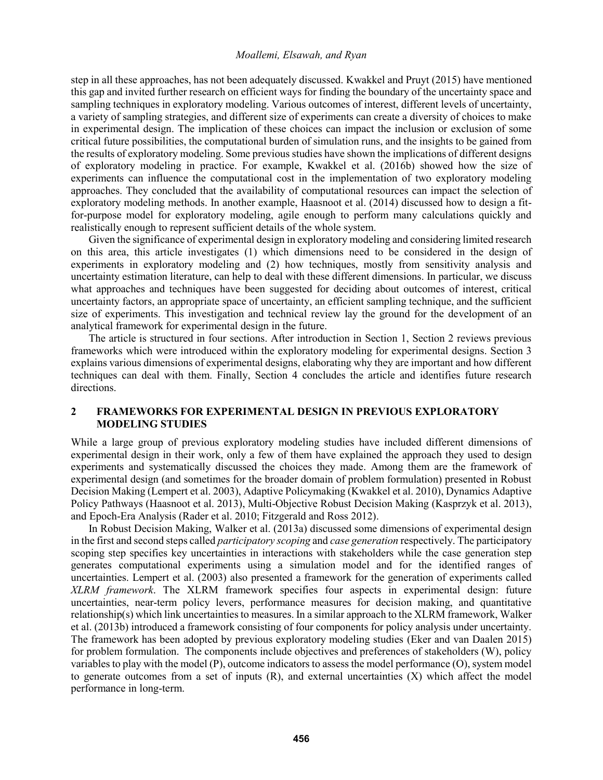step in all these approaches, has not been adequately discussed. Kwakkel and Pruyt (2015) have mentioned this gap and invited further research on efficient ways for finding the boundary of the uncertainty space and sampling techniques in exploratory modeling. Various outcomes of interest, different levels of uncertainty, a variety of sampling strategies, and different size of experiments can create a diversity of choices to make in experimental design. The implication of these choices can impact the inclusion or exclusion of some critical future possibilities, the computational burden of simulation runs, and the insights to be gained from the results of exploratory modeling. Some previous studies have shown the implications of different designs of exploratory modeling in practice. For example, Kwakkel et al. (2016b) showed how the size of experiments can influence the computational cost in the implementation of two exploratory modeling approaches. They concluded that the availability of computational resources can impact the selection of exploratory modeling methods. In another example, Haasnoot et al. (2014) discussed how to design a fitfor-purpose model for exploratory modeling, agile enough to perform many calculations quickly and realistically enough to represent sufficient details of the whole system.

Given the significance of experimental design in exploratory modeling and considering limited research on this area, this article investigates (1) which dimensions need to be considered in the design of experiments in exploratory modeling and (2) how techniques, mostly from sensitivity analysis and uncertainty estimation literature, can help to deal with these different dimensions. In particular, we discuss what approaches and techniques have been suggested for deciding about outcomes of interest, critical uncertainty factors, an appropriate space of uncertainty, an efficient sampling technique, and the sufficient size of experiments. This investigation and technical review lay the ground for the development of an analytical framework for experimental design in the future.

The article is structured in four sections. After introduction in Section 1, Section 2 reviews previous frameworks which were introduced within the exploratory modeling for experimental designs. Section 3 explains various dimensions of experimental designs, elaborating why they are important and how different techniques can deal with them. Finally, Section 4 concludes the article and identifies future research directions.

## **2 FRAMEWORKS FOR EXPERIMENTAL DESIGN IN PREVIOUS EXPLORATORY MODELING STUDIES**

While a large group of previous exploratory modeling studies have included different dimensions of experimental design in their work, only a few of them have explained the approach they used to design experiments and systematically discussed the choices they made. Among them are the framework of experimental design (and sometimes for the broader domain of problem formulation) presented in Robust Decision Making (Lempert et al. 2003), Adaptive Policymaking (Kwakkel et al. 2010), Dynamics Adaptive Policy Pathways (Haasnoot et al. 2013), Multi-Objective Robust Decision Making (Kasprzyk et al. 2013), and Epoch-Era Analysis (Rader et al. 2010; Fitzgerald and Ross 2012).

In Robust Decision Making, Walker et al. (2013a) discussed some dimensions of experimental design in the first and second steps called *participatory scoping* and *case generation* respectively. The participatory scoping step specifies key uncertainties in interactions with stakeholders while the case generation step generates computational experiments using a simulation model and for the identified ranges of uncertainties. Lempert et al. (2003) also presented a framework for the generation of experiments called *XLRM framework*. The XLRM framework specifies four aspects in experimental design: future uncertainties, near-term policy levers, performance measures for decision making, and quantitative relationship(s) which link uncertainties to measures. In a similar approach to the XLRM framework, Walker et al. (2013b) introduced a framework consisting of four components for policy analysis under uncertainty. The framework has been adopted by previous exploratory modeling studies (Eker and van Daalen 2015) for problem formulation. The components include objectives and preferences of stakeholders (W), policy variables to play with the model (P), outcome indicators to assess the model performance (O), system model to generate outcomes from a set of inputs  $(R)$ , and external uncertainties  $(X)$  which affect the model performance in long-term.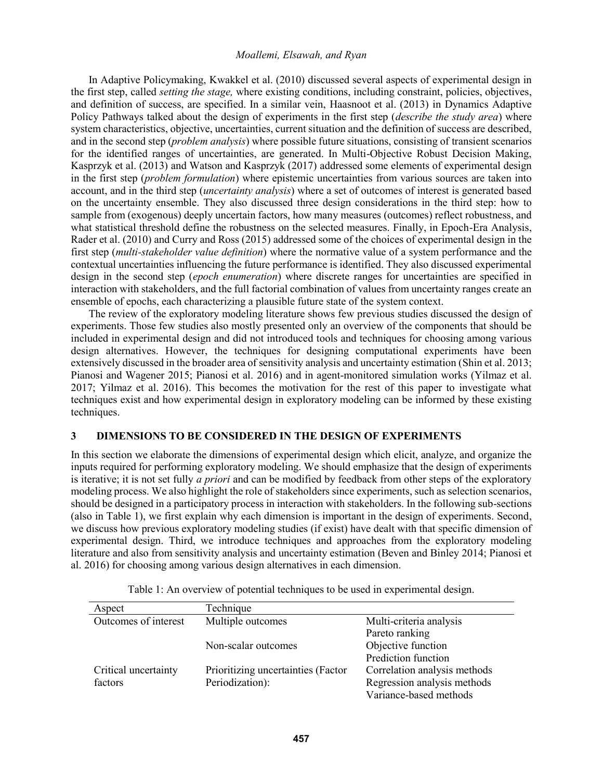In Adaptive Policymaking, Kwakkel et al. (2010) discussed several aspects of experimental design in the first step, called *setting the stage,* where existing conditions, including constraint, policies, objectives, and definition of success, are specified. In a similar vein, Haasnoot et al. (2013) in Dynamics Adaptive Policy Pathways talked about the design of experiments in the first step (*describe the study area*) where system characteristics, objective, uncertainties, current situation and the definition of success are described, and in the second step (*problem analysis*) where possible future situations, consisting of transient scenarios for the identified ranges of uncertainties, are generated. In Multi-Objective Robust Decision Making, Kasprzyk et al. (2013) and Watson and Kasprzyk (2017) addressed some elements of experimental design in the first step (*problem formulation*) where epistemic uncertainties from various sources are taken into account, and in the third step (*uncertainty analysis*) where a set of outcomes of interest is generated based on the uncertainty ensemble. They also discussed three design considerations in the third step: how to sample from (exogenous) deeply uncertain factors, how many measures (outcomes) reflect robustness, and what statistical threshold define the robustness on the selected measures. Finally, in Epoch-Era Analysis, Rader et al. (2010) and Curry and Ross (2015) addressed some of the choices of experimental design in the first step (*multi-stakeholder value definition*) where the normative value of a system performance and the contextual uncertainties influencing the future performance is identified. They also discussed experimental design in the second step (*epoch enumeration*) where discrete ranges for uncertainties are specified in interaction with stakeholders, and the full factorial combination of values from uncertainty ranges create an ensemble of epochs, each characterizing a plausible future state of the system context.

The review of the exploratory modeling literature shows few previous studies discussed the design of experiments. Those few studies also mostly presented only an overview of the components that should be included in experimental design and did not introduced tools and techniques for choosing among various design alternatives. However, the techniques for designing computational experiments have been extensively discussed in the broader area of sensitivity analysis and uncertainty estimation (Shin et al. 2013; Pianosi and Wagener 2015; Pianosi et al. 2016) and in agent-monitored simulation works (Yilmaz et al. 2017; Yilmaz et al. 2016). This becomes the motivation for the rest of this paper to investigate what techniques exist and how experimental design in exploratory modeling can be informed by these existing techniques.

# **3 DIMENSIONS TO BE CONSIDERED IN THE DESIGN OF EXPERIMENTS**

In this section we elaborate the dimensions of experimental design which elicit, analyze, and organize the inputs required for performing exploratory modeling. We should emphasize that the design of experiments is iterative; it is not set fully *a priori* and can be modified by feedback from other steps of the exploratory modeling process. We also highlight the role of stakeholders since experiments, such as selection scenarios, should be designed in a participatory process in interaction with stakeholders. In the following sub-sections (also in Table 1), we first explain why each dimension is important in the design of experiments. Second, we discuss how previous exploratory modeling studies (if exist) have dealt with that specific dimension of experimental design. Third, we introduce techniques and approaches from the exploratory modeling literature and also from sensitivity analysis and uncertainty estimation (Beven and Binley 2014; Pianosi et al. 2016) for choosing among various design alternatives in each dimension.

| Aspect               | Technique                          |                              |
|----------------------|------------------------------------|------------------------------|
| Outcomes of interest | Multiple outcomes                  | Multi-criteria analysis      |
|                      |                                    | Pareto ranking               |
|                      | Non-scalar outcomes                | Objective function           |
|                      |                                    | Prediction function          |
| Critical uncertainty | Prioritizing uncertainties (Factor | Correlation analysis methods |
| factors              | Periodization):                    | Regression analysis methods  |
|                      |                                    | Variance-based methods       |

Table 1: An overview of potential techniques to be used in experimental design.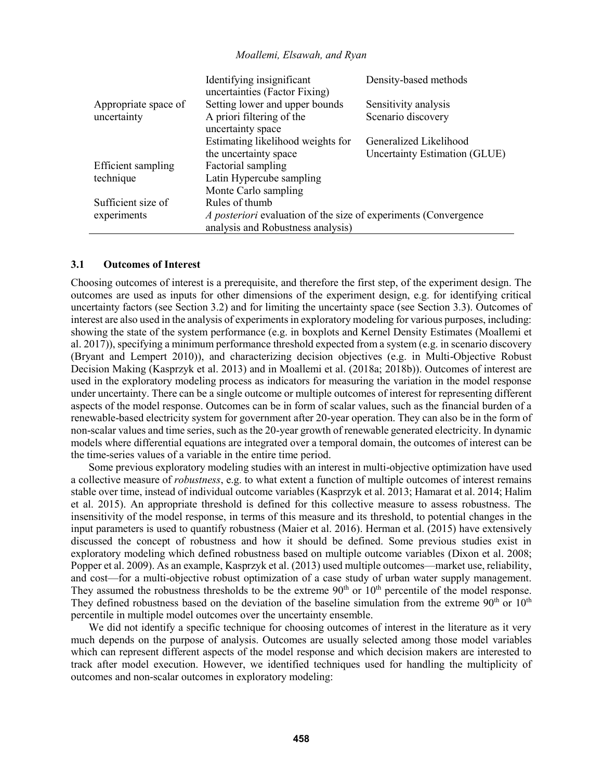|                      | Identifying insignificant<br>uncertainties (Factor Fixing)      | Density-based methods         |
|----------------------|-----------------------------------------------------------------|-------------------------------|
| Appropriate space of | Setting lower and upper bounds                                  | Sensitivity analysis          |
| uncertainty          | A priori filtering of the                                       | Scenario discovery            |
|                      | uncertainty space                                               |                               |
|                      | Estimating likelihood weights for                               | Generalized Likelihood        |
|                      | the uncertainty space                                           | Uncertainty Estimation (GLUE) |
| Efficient sampling   | Factorial sampling                                              |                               |
| technique            | Latin Hypercube sampling                                        |                               |
|                      | Monte Carlo sampling                                            |                               |
| Sufficient size of   | Rules of thumb                                                  |                               |
| experiments          | A posteriori evaluation of the size of experiments (Convergence |                               |
|                      | analysis and Robustness analysis)                               |                               |

#### **3.1 Outcomes of Interest**

Choosing outcomes of interest is a prerequisite, and therefore the first step, of the experiment design. The outcomes are used as inputs for other dimensions of the experiment design, e.g. for identifying critical uncertainty factors (see Section 3.2) and for limiting the uncertainty space (see Section 3.3). Outcomes of interest are also used in the analysis of experiments in exploratory modeling for various purposes, including: showing the state of the system performance (e.g. in boxplots and Kernel Density Estimates (Moallemi et al. 2017)), specifying a minimum performance threshold expected from a system (e.g. in scenario discovery (Bryant and Lempert 2010)), and characterizing decision objectives (e.g. in Multi-Objective Robust Decision Making (Kasprzyk et al. 2013) and in Moallemi et al. (2018a; 2018b)). Outcomes of interest are used in the exploratory modeling process as indicators for measuring the variation in the model response under uncertainty. There can be a single outcome or multiple outcomes of interest for representing different aspects of the model response. Outcomes can be in form of scalar values, such as the financial burden of a renewable-based electricity system for government after 20-year operation. They can also be in the form of non-scalar values and time series, such as the 20-year growth of renewable generated electricity. In dynamic models where differential equations are integrated over a temporal domain, the outcomes of interest can be the time-series values of a variable in the entire time period.

Some previous exploratory modeling studies with an interest in multi-objective optimization have used a collective measure of *robustness*, e.g. to what extent a function of multiple outcomes of interest remains stable over time, instead of individual outcome variables (Kasprzyk et al. 2013; Hamarat et al. 2014; Halim et al. 2015). An appropriate threshold is defined for this collective measure to assess robustness. The insensitivity of the model response, in terms of this measure and its threshold, to potential changes in the input parameters is used to quantify robustness (Maier et al. 2016). Herman et al. (2015) have extensively discussed the concept of robustness and how it should be defined. Some previous studies exist in exploratory modeling which defined robustness based on multiple outcome variables (Dixon et al. 2008; Popper et al. 2009). As an example, Kasprzyk et al. (2013) used multiple outcomes—market use, reliability, and cost—for a multi-objective robust optimization of a case study of urban water supply management. They assumed the robustness thresholds to be the extreme  $90<sup>th</sup>$  or  $10<sup>th</sup>$  percentile of the model response. They defined robustness based on the deviation of the baseline simulation from the extreme  $90<sup>th</sup>$  or  $10<sup>th</sup>$ percentile in multiple model outcomes over the uncertainty ensemble.

We did not identify a specific technique for choosing outcomes of interest in the literature as it very much depends on the purpose of analysis. Outcomes are usually selected among those model variables which can represent different aspects of the model response and which decision makers are interested to track after model execution. However, we identified techniques used for handling the multiplicity of outcomes and non-scalar outcomes in exploratory modeling: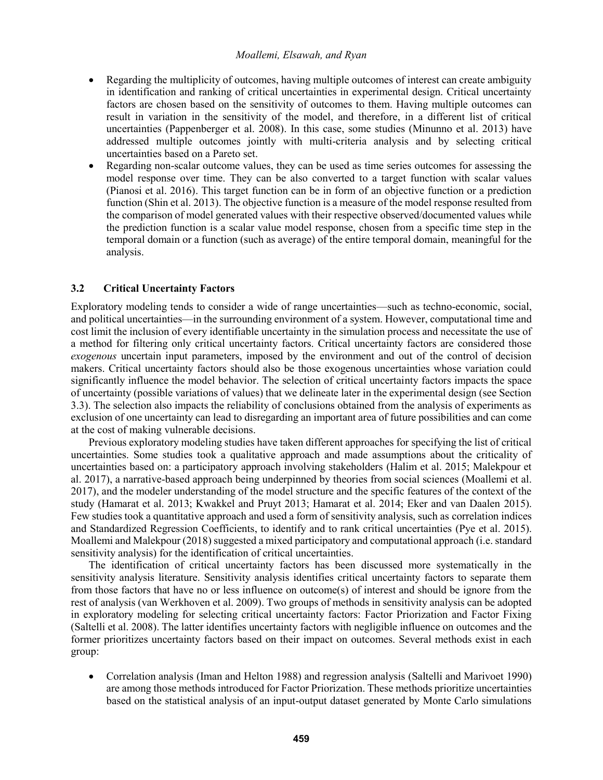- Regarding the multiplicity of outcomes, having multiple outcomes of interest can create ambiguity in identification and ranking of critical uncertainties in experimental design. Critical uncertainty factors are chosen based on the sensitivity of outcomes to them. Having multiple outcomes can result in variation in the sensitivity of the model, and therefore, in a different list of critical uncertainties (Pappenberger et al. 2008). In this case, some studies (Minunno et al. 2013) have addressed multiple outcomes jointly with multi-criteria analysis and by selecting critical uncertainties based on a Pareto set.
- Regarding non-scalar outcome values, they can be used as time series outcomes for assessing the model response over time. They can be also converted to a target function with scalar values (Pianosi et al. 2016). This target function can be in form of an objective function or a prediction function (Shin et al. 2013). The objective function is a measure of the model response resulted from the comparison of model generated values with their respective observed/documented values while the prediction function is a scalar value model response, chosen from a specific time step in the temporal domain or a function (such as average) of the entire temporal domain, meaningful for the analysis.

## **3.2 Critical Uncertainty Factors**

Exploratory modeling tends to consider a wide of range uncertainties—such as techno-economic, social, and political uncertainties—in the surrounding environment of a system. However, computational time and cost limit the inclusion of every identifiable uncertainty in the simulation process and necessitate the use of a method for filtering only critical uncertainty factors. Critical uncertainty factors are considered those *exogenous* uncertain input parameters, imposed by the environment and out of the control of decision makers. Critical uncertainty factors should also be those exogenous uncertainties whose variation could significantly influence the model behavior. The selection of critical uncertainty factors impacts the space of uncertainty (possible variations of values) that we delineate later in the experimental design (see Section 3.3). The selection also impacts the reliability of conclusions obtained from the analysis of experiments as exclusion of one uncertainty can lead to disregarding an important area of future possibilities and can come at the cost of making vulnerable decisions.

Previous exploratory modeling studies have taken different approaches for specifying the list of critical uncertainties. Some studies took a qualitative approach and made assumptions about the criticality of uncertainties based on: a participatory approach involving stakeholders (Halim et al. 2015; Malekpour et al. 2017), a narrative-based approach being underpinned by theories from social sciences (Moallemi et al. 2017), and the modeler understanding of the model structure and the specific features of the context of the study (Hamarat et al. 2013; Kwakkel and Pruyt 2013; Hamarat et al. 2014; Eker and van Daalen 2015). Few studies took a quantitative approach and used a form of sensitivity analysis, such as correlation indices and Standardized Regression Coefficients, to identify and to rank critical uncertainties (Pye et al. 2015). Moallemi and Malekpour (2018) suggested a mixed participatory and computational approach (i.e. standard sensitivity analysis) for the identification of critical uncertainties.

The identification of critical uncertainty factors has been discussed more systematically in the sensitivity analysis literature. Sensitivity analysis identifies critical uncertainty factors to separate them from those factors that have no or less influence on outcome(s) of interest and should be ignore from the rest of analysis (van Werkhoven et al. 2009). Two groups of methods in sensitivity analysis can be adopted in exploratory modeling for selecting critical uncertainty factors: Factor Priorization and Factor Fixing (Saltelli et al. 2008). The latter identifies uncertainty factors with negligible influence on outcomes and the former prioritizes uncertainty factors based on their impact on outcomes. Several methods exist in each group:

• Correlation analysis (Iman and Helton 1988) and regression analysis (Saltelli and Marivoet 1990) are among those methods introduced for Factor Priorization. These methods prioritize uncertainties based on the statistical analysis of an input-output dataset generated by Monte Carlo simulations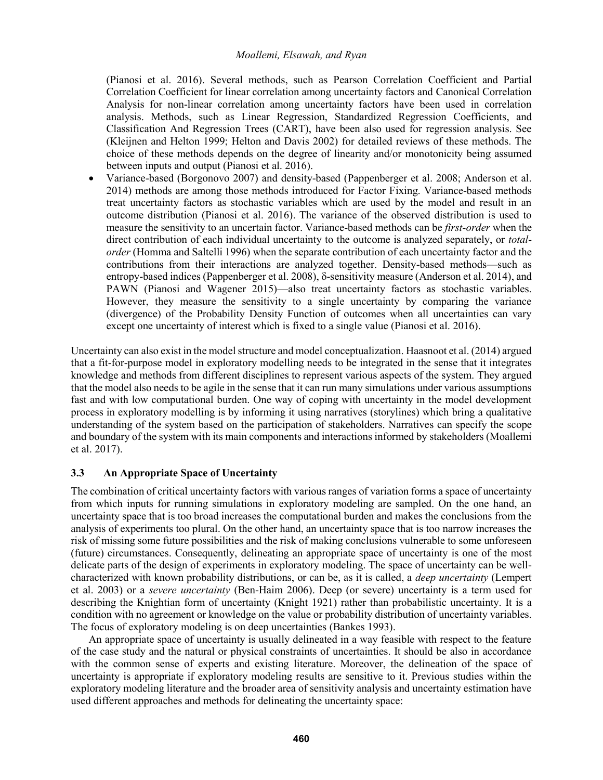(Pianosi et al. 2016). Several methods, such as Pearson Correlation Coefficient and Partial Correlation Coefficient for linear correlation among uncertainty factors and Canonical Correlation Analysis for non-linear correlation among uncertainty factors have been used in correlation analysis. Methods, such as Linear Regression, Standardized Regression Coefficients, and Classification And Regression Trees (CART), have been also used for regression analysis. See (Kleijnen and Helton 1999; Helton and Davis 2002) for detailed reviews of these methods. The choice of these methods depends on the degree of linearity and/or monotonicity being assumed between inputs and output (Pianosi et al. 2016).

• Variance-based (Borgonovo 2007) and density-based (Pappenberger et al. 2008; Anderson et al. 2014) methods are among those methods introduced for Factor Fixing. Variance-based methods treat uncertainty factors as stochastic variables which are used by the model and result in an outcome distribution (Pianosi et al. 2016). The variance of the observed distribution is used to measure the sensitivity to an uncertain factor. Variance-based methods can be *first-order* when the direct contribution of each individual uncertainty to the outcome is analyzed separately, or *totalorder* (Homma and Saltelli 1996) when the separate contribution of each uncertainty factor and the contributions from their interactions are analyzed together. Density-based methods—such as entropy-based indices (Pappenberger et al. 2008),  $\delta$ -sensitivity measure (Anderson et al. 2014), and PAWN (Pianosi and Wagener 2015)—also treat uncertainty factors as stochastic variables. However, they measure the sensitivity to a single uncertainty by comparing the variance (divergence) of the Probability Density Function of outcomes when all uncertainties can vary except one uncertainty of interest which is fixed to a single value (Pianosi et al. 2016).

Uncertainty can also exist in the model structure and model conceptualization. Haasnoot et al. (2014) argued that a fit-for-purpose model in exploratory modelling needs to be integrated in the sense that it integrates knowledge and methods from different disciplines to represent various aspects of the system. They argued that the model also needs to be agile in the sense that it can run many simulations under various assumptions fast and with low computational burden. One way of coping with uncertainty in the model development process in exploratory modelling is by informing it using narratives (storylines) which bring a qualitative understanding of the system based on the participation of stakeholders. Narratives can specify the scope and boundary of the system with its main components and interactions informed by stakeholders (Moallemi et al. 2017).

# **3.3 An Appropriate Space of Uncertainty**

The combination of critical uncertainty factors with various ranges of variation forms a space of uncertainty from which inputs for running simulations in exploratory modeling are sampled. On the one hand, an uncertainty space that is too broad increases the computational burden and makes the conclusions from the analysis of experiments too plural. On the other hand, an uncertainty space that is too narrow increases the risk of missing some future possibilities and the risk of making conclusions vulnerable to some unforeseen (future) circumstances. Consequently, delineating an appropriate space of uncertainty is one of the most delicate parts of the design of experiments in exploratory modeling. The space of uncertainty can be wellcharacterized with known probability distributions, or can be, as it is called, a *deep uncertainty* (Lempert et al. 2003) or a *severe uncertainty* (Ben-Haim 2006). Deep (or severe) uncertainty is a term used for describing the Knightian form of uncertainty (Knight 1921) rather than probabilistic uncertainty. It is a condition with no agreement or knowledge on the value or probability distribution of uncertainty variables. The focus of exploratory modeling is on deep uncertainties (Bankes 1993).

An appropriate space of uncertainty is usually delineated in a way feasible with respect to the feature of the case study and the natural or physical constraints of uncertainties. It should be also in accordance with the common sense of experts and existing literature. Moreover, the delineation of the space of uncertainty is appropriate if exploratory modeling results are sensitive to it. Previous studies within the exploratory modeling literature and the broader area of sensitivity analysis and uncertainty estimation have used different approaches and methods for delineating the uncertainty space: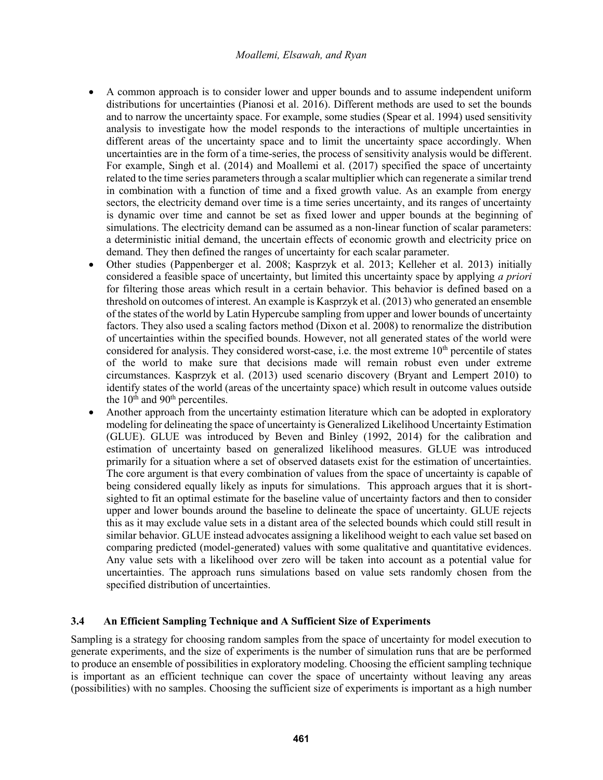- A common approach is to consider lower and upper bounds and to assume independent uniform distributions for uncertainties (Pianosi et al. 2016). Different methods are used to set the bounds and to narrow the uncertainty space. For example, some studies (Spear et al. 1994) used sensitivity analysis to investigate how the model responds to the interactions of multiple uncertainties in different areas of the uncertainty space and to limit the uncertainty space accordingly. When uncertainties are in the form of a time-series, the process of sensitivity analysis would be different. For example, Singh et al. (2014) and Moallemi et al. (2017) specified the space of uncertainty related to the time series parameters through a scalar multiplier which can regenerate a similar trend in combination with a function of time and a fixed growth value. As an example from energy sectors, the electricity demand over time is a time series uncertainty, and its ranges of uncertainty is dynamic over time and cannot be set as fixed lower and upper bounds at the beginning of simulations. The electricity demand can be assumed as a non-linear function of scalar parameters: a deterministic initial demand, the uncertain effects of economic growth and electricity price on demand. They then defined the ranges of uncertainty for each scalar parameter.
- Other studies (Pappenberger et al. 2008; Kasprzyk et al. 2013; Kelleher et al. 2013) initially considered a feasible space of uncertainty, but limited this uncertainty space by applying *a priori* for filtering those areas which result in a certain behavior. This behavior is defined based on a threshold on outcomes of interest. An example is Kasprzyk et al. (2013) who generated an ensemble of the states of the world by Latin Hypercube sampling from upper and lower bounds of uncertainty factors. They also used a scaling factors method (Dixon et al. 2008) to renormalize the distribution of uncertainties within the specified bounds. However, not all generated states of the world were considered for analysis. They considered worst-case, i.e. the most extreme  $10<sup>th</sup>$  percentile of states of the world to make sure that decisions made will remain robust even under extreme circumstances. Kasprzyk et al. (2013) used scenario discovery (Bryant and Lempert 2010) to identify states of the world (areas of the uncertainty space) which result in outcome values outside the  $10<sup>th</sup>$  and  $90<sup>th</sup>$  percentiles.
- Another approach from the uncertainty estimation literature which can be adopted in exploratory modeling for delineating the space of uncertainty is Generalized Likelihood Uncertainty Estimation (GLUE). GLUE was introduced by Beven and Binley (1992, 2014) for the calibration and estimation of uncertainty based on generalized likelihood measures. GLUE was introduced primarily for a situation where a set of observed datasets exist for the estimation of uncertainties. The core argument is that every combination of values from the space of uncertainty is capable of being considered equally likely as inputs for simulations. This approach argues that it is shortsighted to fit an optimal estimate for the baseline value of uncertainty factors and then to consider upper and lower bounds around the baseline to delineate the space of uncertainty. GLUE rejects this as it may exclude value sets in a distant area of the selected bounds which could still result in similar behavior. GLUE instead advocates assigning a likelihood weight to each value set based on comparing predicted (model-generated) values with some qualitative and quantitative evidences. Any value sets with a likelihood over zero will be taken into account as a potential value for uncertainties. The approach runs simulations based on value sets randomly chosen from the specified distribution of uncertainties.

# **3.4 An Efficient Sampling Technique and A Sufficient Size of Experiments**

Sampling is a strategy for choosing random samples from the space of uncertainty for model execution to generate experiments, and the size of experiments is the number of simulation runs that are be performed to produce an ensemble of possibilities in exploratory modeling. Choosing the efficient sampling technique is important as an efficient technique can cover the space of uncertainty without leaving any areas (possibilities) with no samples. Choosing the sufficient size of experiments is important as a high number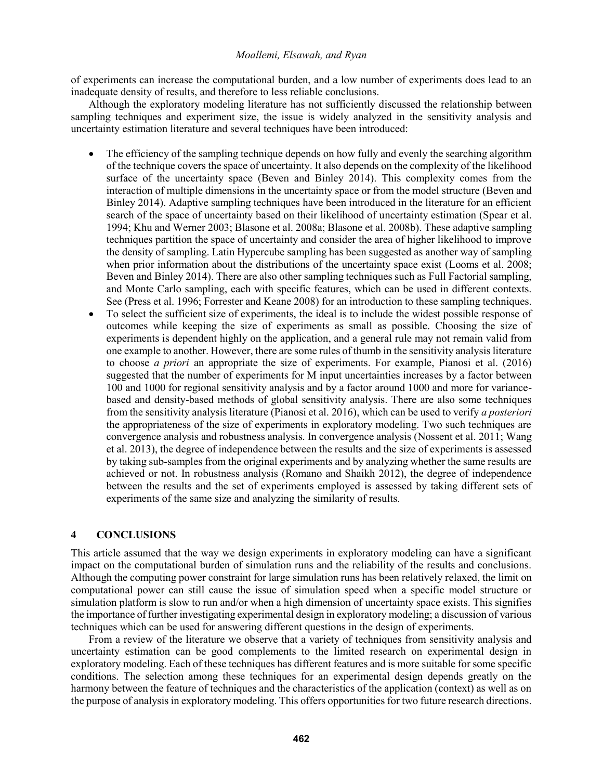of experiments can increase the computational burden, and a low number of experiments does lead to an inadequate density of results, and therefore to less reliable conclusions.

Although the exploratory modeling literature has not sufficiently discussed the relationship between sampling techniques and experiment size, the issue is widely analyzed in the sensitivity analysis and uncertainty estimation literature and several techniques have been introduced:

- The efficiency of the sampling technique depends on how fully and evenly the searching algorithm of the technique covers the space of uncertainty. It also depends on the complexity of the likelihood surface of the uncertainty space (Beven and Binley 2014). This complexity comes from the interaction of multiple dimensions in the uncertainty space or from the model structure (Beven and Binley 2014). Adaptive sampling techniques have been introduced in the literature for an efficient search of the space of uncertainty based on their likelihood of uncertainty estimation (Spear et al. 1994; Khu and Werner 2003; Blasone et al. 2008a; Blasone et al. 2008b). These adaptive sampling techniques partition the space of uncertainty and consider the area of higher likelihood to improve the density of sampling. Latin Hypercube sampling has been suggested as another way of sampling when prior information about the distributions of the uncertainty space exist (Looms et al. 2008; Beven and Binley 2014). There are also other sampling techniques such as Full Factorial sampling, and Monte Carlo sampling, each with specific features, which can be used in different contexts. See (Press et al. 1996; Forrester and Keane 2008) for an introduction to these sampling techniques.
- To select the sufficient size of experiments, the ideal is to include the widest possible response of outcomes while keeping the size of experiments as small as possible. Choosing the size of experiments is dependent highly on the application, and a general rule may not remain valid from one example to another. However, there are some rules of thumb in the sensitivity analysis literature to choose *a priori* an appropriate the size of experiments. For example, Pianosi et al. (2016) suggested that the number of experiments for M input uncertainties increases by a factor between 100 and 1000 for regional sensitivity analysis and by a factor around 1000 and more for variancebased and density-based methods of global sensitivity analysis. There are also some techniques from the sensitivity analysis literature (Pianosi et al. 2016), which can be used to verify *a posteriori*  the appropriateness of the size of experiments in exploratory modeling. Two such techniques are convergence analysis and robustness analysis. In convergence analysis (Nossent et al. 2011; Wang et al. 2013), the degree of independence between the results and the size of experiments is assessed by taking sub-samples from the original experiments and by analyzing whether the same results are achieved or not. In robustness analysis (Romano and Shaikh 2012), the degree of independence between the results and the set of experiments employed is assessed by taking different sets of experiments of the same size and analyzing the similarity of results.

#### **4 CONCLUSIONS**

This article assumed that the way we design experiments in exploratory modeling can have a significant impact on the computational burden of simulation runs and the reliability of the results and conclusions. Although the computing power constraint for large simulation runs has been relatively relaxed, the limit on computational power can still cause the issue of simulation speed when a specific model structure or simulation platform is slow to run and/or when a high dimension of uncertainty space exists. This signifies the importance of further investigating experimental design in exploratory modeling; a discussion of various techniques which can be used for answering different questions in the design of experiments.

From a review of the literature we observe that a variety of techniques from sensitivity analysis and uncertainty estimation can be good complements to the limited research on experimental design in exploratory modeling. Each of these techniques has different features and is more suitable for some specific conditions. The selection among these techniques for an experimental design depends greatly on the harmony between the feature of techniques and the characteristics of the application (context) as well as on the purpose of analysis in exploratory modeling. This offers opportunities for two future research directions.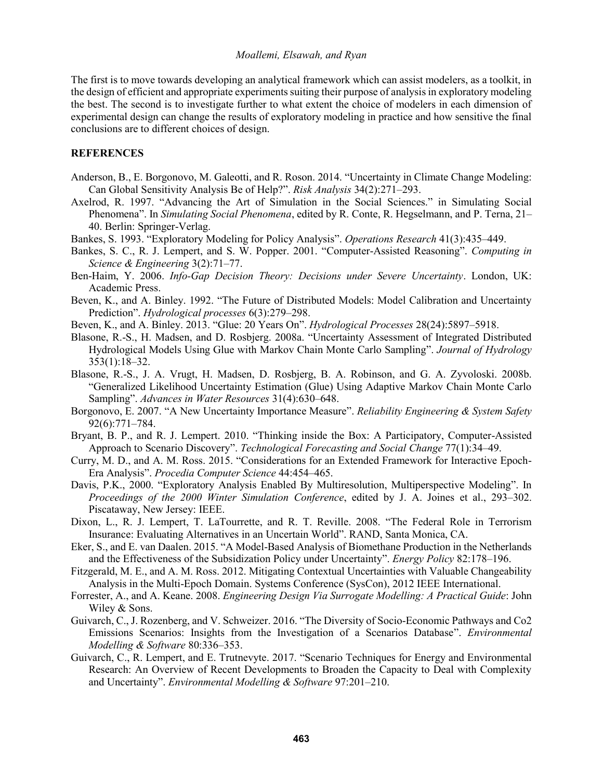The first is to move towards developing an analytical framework which can assist modelers, as a toolkit, in the design of efficient and appropriate experiments suiting their purpose of analysis in exploratory modeling the best. The second is to investigate further to what extent the choice of modelers in each dimension of experimental design can change the results of exploratory modeling in practice and how sensitive the final conclusions are to different choices of design.

#### **REFERENCES**

- Anderson, B., E. Borgonovo, M. Galeotti, and R. Roson. 2014. "Uncertainty in Climate Change Modeling: Can Global Sensitivity Analysis Be of Help?". *Risk Analysis* 34(2):271–293.
- Axelrod, R. 1997. "Advancing the Art of Simulation in the Social Sciences." in Simulating Social Phenomena". In *Simulating Social Phenomena*, edited by R. Conte, R. Hegselmann, and P. Terna, 21– 40. Berlin: Springer-Verlag.
- Bankes, S. 1993. "Exploratory Modeling for Policy Analysis". *Operations Research* 41(3):435–449.
- Bankes, S. C., R. J. Lempert, and S. W. Popper. 2001. "Computer-Assisted Reasoning". *Computing in Science & Engineering* 3(2):71–77.
- Ben-Haim, Y. 2006. *Info-Gap Decision Theory: Decisions under Severe Uncertainty*. London, UK: Academic Press.
- Beven, K., and A. Binley. 1992. "The Future of Distributed Models: Model Calibration and Uncertainty Prediction". *Hydrological processes* 6(3):279–298.
- Beven, K., and A. Binley. 2013. "Glue: 20 Years On". *Hydrological Processes* 28(24):5897–5918.
- Blasone, R.-S., H. Madsen, and D. Rosbjerg. 2008a. "Uncertainty Assessment of Integrated Distributed Hydrological Models Using Glue with Markov Chain Monte Carlo Sampling". *Journal of Hydrology* 353(1):18–32.
- Blasone, R.-S., J. A. Vrugt, H. Madsen, D. Rosbjerg, B. A. Robinson, and G. A. Zyvoloski. 2008b. "Generalized Likelihood Uncertainty Estimation (Glue) Using Adaptive Markov Chain Monte Carlo Sampling". *Advances in Water Resources* 31(4):630–648.
- Borgonovo, E. 2007. "A New Uncertainty Importance Measure". *Reliability Engineering & System Safety* 92(6):771–784.
- Bryant, B. P., and R. J. Lempert. 2010. "Thinking inside the Box: A Participatory, Computer-Assisted Approach to Scenario Discovery". *Technological Forecasting and Social Change* 77(1):34–49.
- Curry, M. D., and A. M. Ross. 2015. "Considerations for an Extended Framework for Interactive Epoch-Era Analysis". *Procedia Computer Science* 44:454–465.
- Davis, P.K., 2000. "Exploratory Analysis Enabled By Multiresolution, Multiperspective Modeling". In *Proceedings of the 2000 Winter Simulation Conference*, edited by J. A. Joines et al., 293–302. Piscataway, New Jersey: IEEE.
- Dixon, L., R. J. Lempert, T. LaTourrette, and R. T. Reville. 2008. "The Federal Role in Terrorism Insurance: Evaluating Alternatives in an Uncertain World". RAND, Santa Monica, CA.
- Eker, S., and E. van Daalen. 2015. "A Model-Based Analysis of Biomethane Production in the Netherlands and the Effectiveness of the Subsidization Policy under Uncertainty". *Energy Policy* 82:178–196.
- Fitzgerald, M. E., and A. M. Ross. 2012. Mitigating Contextual Uncertainties with Valuable Changeability Analysis in the Multi-Epoch Domain. Systems Conference (SysCon), 2012 IEEE International.
- Forrester, A., and A. Keane. 2008. *Engineering Design Via Surrogate Modelling: A Practical Guide*: John Wiley & Sons.
- Guivarch, C., J. Rozenberg, and V. Schweizer. 2016. "The Diversity of Socio-Economic Pathways and Co2 Emissions Scenarios: Insights from the Investigation of a Scenarios Database". *Environmental Modelling & Software* 80:336–353.
- Guivarch, C., R. Lempert, and E. Trutnevyte. 2017. "Scenario Techniques for Energy and Environmental Research: An Overview of Recent Developments to Broaden the Capacity to Deal with Complexity and Uncertainty". *Environmental Modelling & Software* 97:201–210.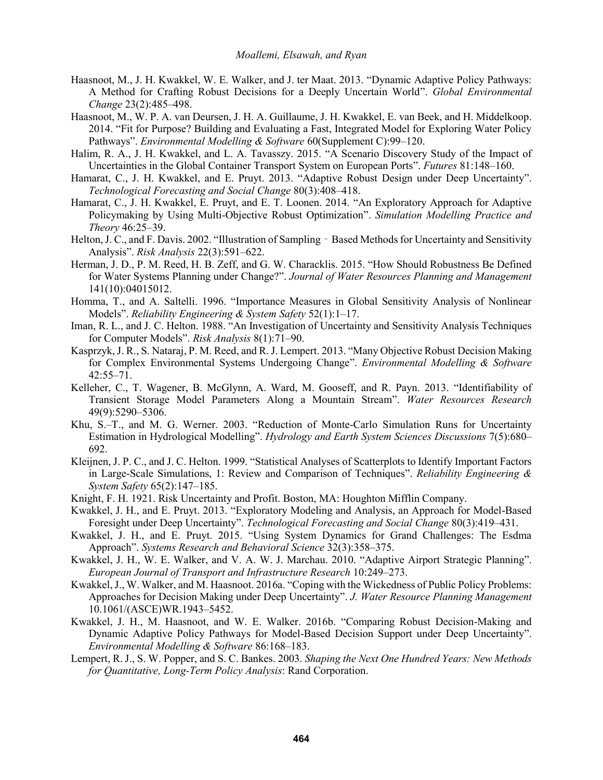- Haasnoot, M., J. H. Kwakkel, W. E. Walker, and J. ter Maat. 2013. "Dynamic Adaptive Policy Pathways: A Method for Crafting Robust Decisions for a Deeply Uncertain World". *Global Environmental Change* 23(2):485–498.
- Haasnoot, M., W. P. A. van Deursen, J. H. A. Guillaume, J. H. Kwakkel, E. van Beek, and H. Middelkoop. 2014. "Fit for Purpose? Building and Evaluating a Fast, Integrated Model for Exploring Water Policy Pathways". *Environmental Modelling & Software* 60(Supplement C):99–120.
- Halim, R. A., J. H. Kwakkel, and L. A. Tavasszy. 2015. "A Scenario Discovery Study of the Impact of Uncertainties in the Global Container Transport System on European Ports". *Futures* 81:148–160.
- Hamarat, C., J. H. Kwakkel, and E. Pruyt. 2013. "Adaptive Robust Design under Deep Uncertainty". *Technological Forecasting and Social Change* 80(3):408–418.
- Hamarat, C., J. H. Kwakkel, E. Pruyt, and E. T. Loonen. 2014. "An Exploratory Approach for Adaptive Policymaking by Using Multi-Objective Robust Optimization". *Simulation Modelling Practice and Theory* 46:25–39.
- Helton, J. C., and F. Davis. 2002. "Illustration of Sampling Based Methods for Uncertainty and Sensitivity Analysis". *Risk Analysis* 22(3):591–622.
- Herman, J. D., P. M. Reed, H. B. Zeff, and G. W. Characklis. 2015. "How Should Robustness Be Defined for Water Systems Planning under Change?". *Journal of Water Resources Planning and Management* 141(10):04015012.
- Homma, T., and A. Saltelli. 1996. "Importance Measures in Global Sensitivity Analysis of Nonlinear Models". *Reliability Engineering & System Safety* 52(1):1–17.
- Iman, R. L., and J. C. Helton. 1988. "An Investigation of Uncertainty and Sensitivity Analysis Techniques for Computer Models". *Risk Analysis* 8(1):71–90.
- Kasprzyk, J. R., S. Nataraj, P. M. Reed, and R. J. Lempert. 2013. "Many Objective Robust Decision Making for Complex Environmental Systems Undergoing Change". *Environmental Modelling & Software* 42:55–71.
- Kelleher, C., T. Wagener, B. McGlynn, A. Ward, M. Gooseff, and R. Payn. 2013. "Identifiability of Transient Storage Model Parameters Along a Mountain Stream". *Water Resources Research* 49(9):5290–5306.
- Khu, S.–T., and M. G. Werner. 2003. "Reduction of Monte-Carlo Simulation Runs for Uncertainty Estimation in Hydrological Modelling". *Hydrology and Earth System Sciences Discussions* 7(5):680– 692.
- Kleijnen, J. P. C., and J. C. Helton. 1999. "Statistical Analyses of Scatterplots to Identify Important Factors in Large-Scale Simulations, 1: Review and Comparison of Techniques". *Reliability Engineering & System Safety* 65(2):147–185.
- Knight, F. H. 1921. Risk Uncertainty and Profit. Boston, MA: Houghton Mifflin Company.
- Kwakkel, J. H., and E. Pruyt. 2013. "Exploratory Modeling and Analysis, an Approach for Model-Based Foresight under Deep Uncertainty". *Technological Forecasting and Social Change* 80(3):419–431.
- Kwakkel, J. H., and E. Pruyt. 2015. "Using System Dynamics for Grand Challenges: The Esdma Approach". *Systems Research and Behavioral Science* 32(3):358–375.
- Kwakkel, J. H., W. E. Walker, and V. A. W. J. Marchau. 2010. "Adaptive Airport Strategic Planning". *European Journal of Transport and Infrastructure Research* 10:249–273.
- Kwakkel, J., W. Walker, and M. Haasnoot. 2016a. "Coping with the Wickedness of Public Policy Problems: Approaches for Decision Making under Deep Uncertainty". *J. Water Resource Planning Management* 10.1061/(ASCE)WR.1943–5452.
- Kwakkel, J. H., M. Haasnoot, and W. E. Walker. 2016b. "Comparing Robust Decision-Making and Dynamic Adaptive Policy Pathways for Model-Based Decision Support under Deep Uncertainty". *Environmental Modelling & Software* 86:168–183.
- Lempert, R. J., S. W. Popper, and S. C. Bankes. 2003. *Shaping the Next One Hundred Years: New Methods for Quantitative, Long-Term Policy Analysis*: Rand Corporation.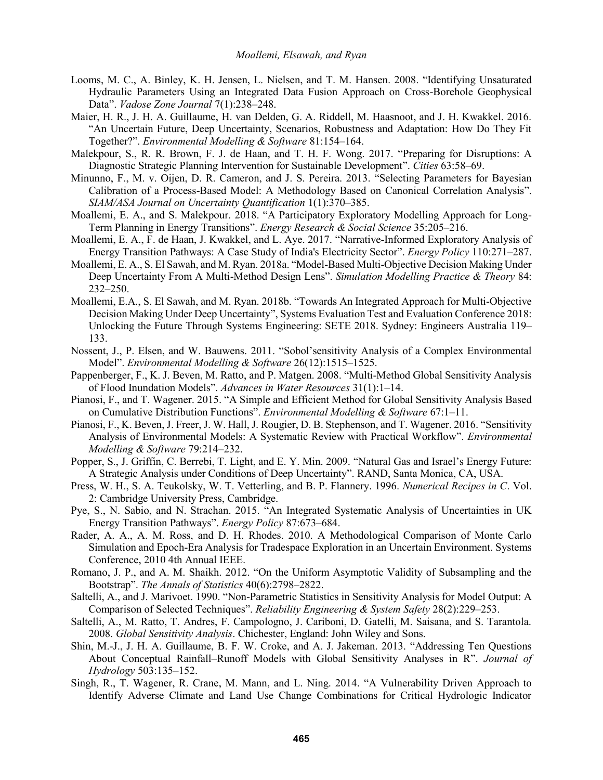- Looms, M. C., A. Binley, K. H. Jensen, L. Nielsen, and T. M. Hansen. 2008. "Identifying Unsaturated Hydraulic Parameters Using an Integrated Data Fusion Approach on Cross-Borehole Geophysical Data". *Vadose Zone Journal* 7(1):238–248.
- Maier, H. R., J. H. A. Guillaume, H. van Delden, G. A. Riddell, M. Haasnoot, and J. H. Kwakkel. 2016. "An Uncertain Future, Deep Uncertainty, Scenarios, Robustness and Adaptation: How Do They Fit Together?". *Environmental Modelling & Software* 81:154–164.
- Malekpour, S., R. R. Brown, F. J. de Haan, and T. H. F. Wong. 2017. "Preparing for Disruptions: A Diagnostic Strategic Planning Intervention for Sustainable Development". *Cities* 63:58–69.
- Minunno, F., M. v. Oijen, D. R. Cameron, and J. S. Pereira. 2013. "Selecting Parameters for Bayesian Calibration of a Process-Based Model: A Methodology Based on Canonical Correlation Analysis". *SIAM/ASA Journal on Uncertainty Quantification* 1(1):370–385.
- Moallemi, E. A., and S. Malekpour. 2018. "A Participatory Exploratory Modelling Approach for Long-Term Planning in Energy Transitions". *Energy Research & Social Science* 35:205–216.
- Moallemi, E. A., F. de Haan, J. Kwakkel, and L. Aye. 2017. "Narrative-Informed Exploratory Analysis of Energy Transition Pathways: A Case Study of India's Electricity Sector". *Energy Policy* 110:271–287.
- Moallemi, E. A., S. El Sawah, and M. Ryan. 2018a. "Model-Based Multi-Objective Decision Making Under Deep Uncertainty From A Multi-Method Design Lens". *Simulation Modelling Practice & Theory* 84: 232–250.
- Moallemi, E.A., S. El Sawah, and M. Ryan. 2018b. "Towards An Integrated Approach for Multi-Objective Decision Making Under Deep Uncertainty", Systems Evaluation Test and Evaluation Conference 2018: Unlocking the Future Through Systems Engineering: SETE 2018. Sydney: Engineers Australia 119– 133.
- Nossent, J., P. Elsen, and W. Bauwens. 2011. "Sobol'sensitivity Analysis of a Complex Environmental Model". *Environmental Modelling & Software* 26(12):1515–1525.
- Pappenberger, F., K. J. Beven, M. Ratto, and P. Matgen. 2008. "Multi-Method Global Sensitivity Analysis of Flood Inundation Models". *Advances in Water Resources* 31(1):1–14.
- Pianosi, F., and T. Wagener. 2015. "A Simple and Efficient Method for Global Sensitivity Analysis Based on Cumulative Distribution Functions". *Environmental Modelling & Software* 67:1–11.
- Pianosi, F., K. Beven, J. Freer, J. W. Hall, J. Rougier, D. B. Stephenson, and T. Wagener. 2016. "Sensitivity Analysis of Environmental Models: A Systematic Review with Practical Workflow". *Environmental Modelling & Software* 79:214–232.
- Popper, S., J. Griffin, C. Berrebi, T. Light, and E. Y. Min. 2009. "Natural Gas and Israel's Energy Future: A Strategic Analysis under Conditions of Deep Uncertainty". RAND, Santa Monica, CA, USA.
- Press, W. H., S. A. Teukolsky, W. T. Vetterling, and B. P. Flannery. 1996. *Numerical Recipes in C*. Vol. 2: Cambridge University Press, Cambridge.
- Pye, S., N. Sabio, and N. Strachan. 2015. "An Integrated Systematic Analysis of Uncertainties in UK Energy Transition Pathways". *Energy Policy* 87:673–684.
- Rader, A. A., A. M. Ross, and D. H. Rhodes. 2010. A Methodological Comparison of Monte Carlo Simulation and Epoch-Era Analysis for Tradespace Exploration in an Uncertain Environment. Systems Conference, 2010 4th Annual IEEE.
- Romano, J. P., and A. M. Shaikh. 2012. "On the Uniform Asymptotic Validity of Subsampling and the Bootstrap". *The Annals of Statistics* 40(6):2798–2822.
- Saltelli, A., and J. Marivoet. 1990. "Non-Parametric Statistics in Sensitivity Analysis for Model Output: A Comparison of Selected Techniques". *Reliability Engineering & System Safety* 28(2):229–253.
- Saltelli, A., M. Ratto, T. Andres, F. Campologno, J. Cariboni, D. Gatelli, M. Saisana, and S. Tarantola. 2008. *Global Sensitivity Analysis*. Chichester, England: John Wiley and Sons.
- Shin, M.-J., J. H. A. Guillaume, B. F. W. Croke, and A. J. Jakeman. 2013. "Addressing Ten Questions About Conceptual Rainfall–Runoff Models with Global Sensitivity Analyses in R". *Journal of Hydrology* 503:135–152.
- Singh, R., T. Wagener, R. Crane, M. Mann, and L. Ning. 2014. "A Vulnerability Driven Approach to Identify Adverse Climate and Land Use Change Combinations for Critical Hydrologic Indicator